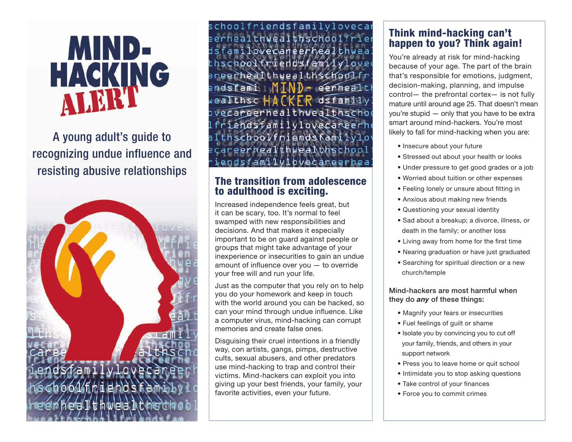# MIND-HACKING

A young adult's guide to recognizing undue influence and resisting abusive relationships



schoolfriendsfamilylovecar erhealthwealthschoolfrier sfamilovecaneerhealthwea hschoolfriendsfamilyloved reerhealthwealthschoolfr ndsfami M  $\mathbb{D}$  - eerhealt Tthsc HACKER dsfamily vecareerhealthwealthschod iendsfamilylovecareerhe thschoolfriends kamilylo careerhealthwealthschoo ndsfamilvlbvecareerhea

# The transition from adolescence to adulthood is exciting.

Increased independence feels great, but it can be scary, too. It's normal to feel swamped with new responsibilities and decisions. And that makes it especially important to be on guard against people or groups that might take advantage of your inexperience or insecurities to gain an undue amount of influence over you — to override your free will and run your life.

Just as the computer that you rely on to help you do your homework and keep in touch with the world around you can be hacked, so can your mind through undue influence. Like a computer virus, mind-hacking can corrupt memories and create false ones.

Disguising their cruel intentions in a friendly way, con artists, gangs, pimps, destructive cults, sexual abusers, and other predators use mind-hacking to trap and control their victims. Mind-hackers can exploit you into giving up your best friends, your family, your favorite activities, even your future.

# Think mind-hacking can't happen to you? Think again!

You're already at risk for mind-hacking because of your age. The part of the brain that's responsible for emotions, judgment, decision-making, planning, and impulse control— the prefrontal cortex— is not fully mature until around age 25. That doesn't mean you're stupid — only that you have to be extra smart around mind-hackers. You're most likely to fall for mind-hacking when you are:

- Insecure about your future
- Stressed out about your health or looks
- Under pressure to get good grades or a job
- Worried about tuition or other expenses
- Feeling lonely or unsure about fitting in
- Anxious about making new friends
- Questioning your sexual identity
- Sad about a breakup; a divorce, illness, or death in the family; or another loss
- Living away from home for the first time
- Nearing graduation or have just graduated
- Searching for spiritual direction or a new church/temple

#### Mind-hackers are most harmful when they do *any* of these things:

- Magnify your fears or insecurities
- Fuel feelings of guilt or shame
- Isolate you by convincing you to cut off your family, friends, and others in your support network
- Press you to leave home or quit school
- Intimidate you to stop asking questions
- Take control of your finances
- Force you to commit crimes